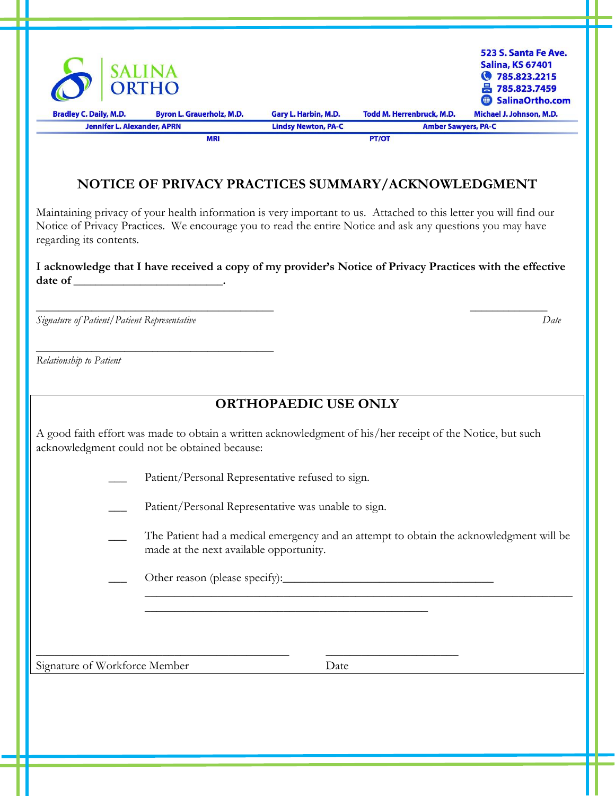| $\bigcirc$                         | <b>SALINA</b><br>ORTHO           |                            |                            | 523 S. Santa Fe Ave.<br><b>Salina, KS 67401</b><br>● 785.823.2215<br>昌 785.823.7459<br>SalinaOrtho.com |
|------------------------------------|----------------------------------|----------------------------|----------------------------|--------------------------------------------------------------------------------------------------------|
| <b>Bradley C. Daily, M.D.</b>      | <b>Byron L. Grauerholz, M.D.</b> | Gary L. Harbin, M.D.       | Todd M. Herrenbruck, M.D.  | Michael J. Johnson, M.D.                                                                               |
| <b>Jennifer L. Alexander, APRN</b> |                                  | <b>Lindsy Newton, PA-C</b> | <b>Amber Sawyers, PA-C</b> |                                                                                                        |
|                                    | <b>MRI</b>                       |                            | <b>PT/OT</b>               |                                                                                                        |

### **NOTICE OF PRIVACY PRACTICES SUMMARY/ACKNOWLEDGMENT**

Maintaining privacy of your health information is very important to us. Attached to this letter you will find our Notice of Privacy Practices. We encourage you to read the entire Notice and ask any questions you may have regarding its contents.

**I acknowledge that I have received a copy of my provider's Notice of Privacy Practices with the effective date of \_\_\_\_\_\_\_\_\_\_\_\_\_\_\_\_\_\_\_\_\_\_\_\_\_\_\_.**

 $\overline{\phantom{a}}$  , and the contract of the contract of the contract of the contract of the contract of the contract of the contract of the contract of the contract of the contract of the contract of the contract of the contrac

*Signature of Patient/Patient Representative Date*

 $\frac{1}{2}$  ,  $\frac{1}{2}$  ,  $\frac{1}{2}$  ,  $\frac{1}{2}$  ,  $\frac{1}{2}$  ,  $\frac{1}{2}$  ,  $\frac{1}{2}$  ,  $\frac{1}{2}$  ,  $\frac{1}{2}$  ,  $\frac{1}{2}$  ,  $\frac{1}{2}$  ,  $\frac{1}{2}$  ,  $\frac{1}{2}$  ,  $\frac{1}{2}$  ,  $\frac{1}{2}$  ,  $\frac{1}{2}$  ,  $\frac{1}{2}$  ,  $\frac{1}{2}$  ,  $\frac{1$ 

*Relationship to Patient*

## **ORTHOPAEDIC USE ONLY**

A good faith effort was made to obtain a written acknowledgment of his/her receipt of the Notice, but such acknowledgment could not be obtained because:

\_\_\_\_\_\_\_\_\_\_\_\_\_\_\_\_\_\_\_\_\_\_\_\_\_\_\_\_\_\_\_\_\_\_\_\_\_\_\_\_\_\_\_\_\_\_\_

Patient/Personal Representative refused to sign.

Patient/Personal Representative was unable to sign.

\_\_\_\_\_\_\_\_\_\_\_\_\_\_\_\_\_\_\_\_\_\_\_\_\_\_\_\_\_\_\_\_\_\_\_\_\_\_\_\_\_\_ \_\_\_\_\_\_\_\_\_\_\_\_\_\_\_\_\_\_\_\_\_\_

The Patient had a medical emergency and an attempt to obtain the acknowledgment will be made at the next available opportunity.

\_\_\_\_\_\_\_\_\_\_\_\_\_\_\_\_\_\_\_\_\_\_\_\_\_\_\_\_\_\_\_\_\_\_\_\_\_\_\_\_\_\_\_\_\_\_\_\_\_\_\_\_\_\_\_\_\_\_\_\_\_\_\_\_\_\_\_\_\_\_\_

\_\_\_ Other reason (please specify):\_\_\_\_\_\_\_\_\_\_\_\_\_\_\_\_\_\_\_\_\_\_\_\_\_\_\_\_\_\_\_\_\_\_\_

Signature of Workforce Member Date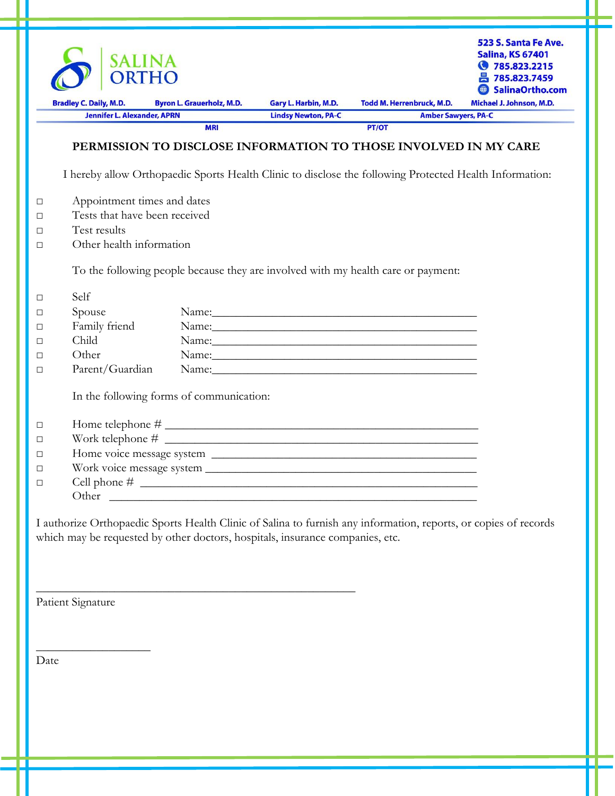|        |                                                                               |                                                                                                                        |                                                    |                                                                                                                  | 523 S. Santa Fe Ave.<br><b>Salina, KS 67401</b><br>图 785.823.2215<br>昌 785.823.7459<br><b>SalinaOrtho.com</b> |
|--------|-------------------------------------------------------------------------------|------------------------------------------------------------------------------------------------------------------------|----------------------------------------------------|------------------------------------------------------------------------------------------------------------------|---------------------------------------------------------------------------------------------------------------|
|        | <b>Bradley C. Daily, M.D.</b><br><b>Jennifer L. Alexander, APRN</b>           | <b>Byron L. Grauerholz, M.D.</b>                                                                                       | Gary L. Harbin, M.D.<br><b>Lindsy Newton, PA-C</b> | <b>Todd M. Herrenbruck, M.D.</b><br><b>Amber Sawyers, PA-C</b>                                                   | Michael J. Johnson, M.D.                                                                                      |
|        |                                                                               | <b>MRI</b>                                                                                                             |                                                    | PT/OT                                                                                                            |                                                                                                               |
|        |                                                                               |                                                                                                                        |                                                    | PERMISSION TO DISCLOSE INFORMATION TO THOSE INVOLVED IN MY CARE                                                  |                                                                                                               |
|        |                                                                               |                                                                                                                        |                                                    | I hereby allow Orthopaedic Sports Health Clinic to disclose the following Protected Health Information:          |                                                                                                               |
| $\Box$ | Appointment times and dates                                                   |                                                                                                                        |                                                    |                                                                                                                  |                                                                                                               |
| □      | Tests that have been received                                                 |                                                                                                                        |                                                    |                                                                                                                  |                                                                                                               |
| □      | Test results                                                                  |                                                                                                                        |                                                    |                                                                                                                  |                                                                                                               |
| □      | Other health information                                                      |                                                                                                                        |                                                    |                                                                                                                  |                                                                                                               |
|        |                                                                               |                                                                                                                        |                                                    | To the following people because they are involved with my health care or payment:                                |                                                                                                               |
| $\Box$ | Self                                                                          |                                                                                                                        |                                                    |                                                                                                                  |                                                                                                               |
| □      | Spouse                                                                        |                                                                                                                        |                                                    |                                                                                                                  |                                                                                                               |
| □      | Family friend                                                                 |                                                                                                                        |                                                    |                                                                                                                  |                                                                                                               |
| □      | Child                                                                         |                                                                                                                        |                                                    |                                                                                                                  |                                                                                                               |
| □      | Other                                                                         |                                                                                                                        |                                                    |                                                                                                                  |                                                                                                               |
| □      | Parent/Guardian                                                               |                                                                                                                        |                                                    |                                                                                                                  |                                                                                                               |
|        | In the following forms of communication:                                      |                                                                                                                        |                                                    |                                                                                                                  |                                                                                                               |
| $\Box$ |                                                                               |                                                                                                                        |                                                    |                                                                                                                  |                                                                                                               |
| □      |                                                                               |                                                                                                                        |                                                    |                                                                                                                  |                                                                                                               |
| □      |                                                                               |                                                                                                                        |                                                    |                                                                                                                  |                                                                                                               |
| □      |                                                                               |                                                                                                                        |                                                    |                                                                                                                  |                                                                                                               |
| □      |                                                                               |                                                                                                                        |                                                    |                                                                                                                  |                                                                                                               |
|        |                                                                               |                                                                                                                        |                                                    |                                                                                                                  |                                                                                                               |
|        | which may be requested by other doctors, hospitals, insurance companies, etc. |                                                                                                                        |                                                    | I authorize Orthopaedic Sports Health Clinic of Salina to furnish any information, reports, or copies of records |                                                                                                               |
|        | Patient Signature                                                             | <u> 1989 - Johann John Stein, market fan it ferskearre fan it ferskearre fan it ferskearre fan it ferskearre fan i</u> |                                                    |                                                                                                                  |                                                                                                               |

n

Date

ш

 $\_$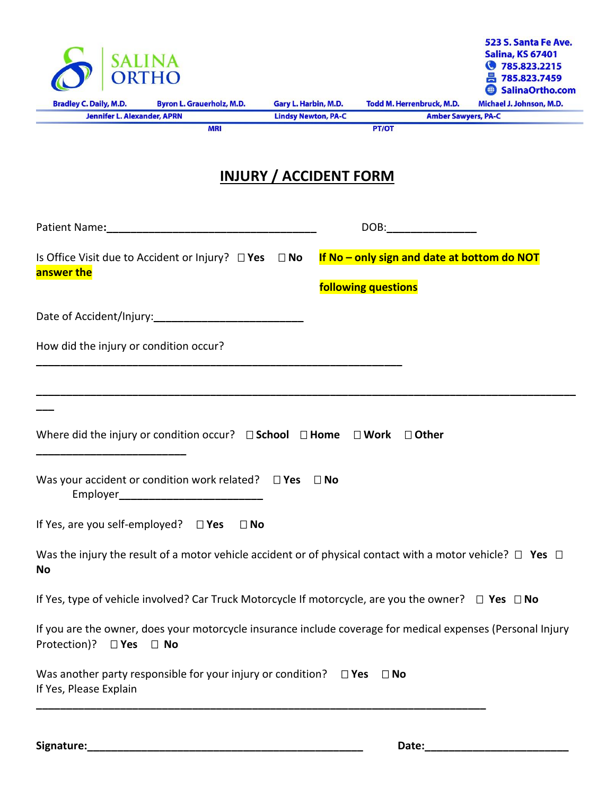| <b>Bradley C. Daily, M.D.</b><br><b>Byron L. Grauerholz, M.D.</b><br><b>Jennifer L. Alexander, APRN</b><br><b>MRI</b><br>Is Office Visit due to Accident or Injury? $\square$ Yes $\square$ No<br>answer the<br>Date of Accident/Injury:<br>How did the injury or condition occur? | Gary L. Harbin, M.D.<br><b>Lindsy Newton, PA-C</b><br><b>INJURY / ACCIDENT FORM</b> | PT/OT<br>following questions | Todd M. Herrenbruck, M.D.<br><b>Amber Sawyers, PA-C</b><br>DOB:____________________ | Michael J. Johnson, M.D.<br>If No - only sign and date at bottom do NOT |
|------------------------------------------------------------------------------------------------------------------------------------------------------------------------------------------------------------------------------------------------------------------------------------|-------------------------------------------------------------------------------------|------------------------------|-------------------------------------------------------------------------------------|-------------------------------------------------------------------------|
|                                                                                                                                                                                                                                                                                    |                                                                                     |                              |                                                                                     |                                                                         |
|                                                                                                                                                                                                                                                                                    |                                                                                     |                              |                                                                                     |                                                                         |
|                                                                                                                                                                                                                                                                                    |                                                                                     |                              |                                                                                     |                                                                         |
|                                                                                                                                                                                                                                                                                    |                                                                                     |                              |                                                                                     |                                                                         |
|                                                                                                                                                                                                                                                                                    |                                                                                     |                              |                                                                                     |                                                                         |
|                                                                                                                                                                                                                                                                                    |                                                                                     |                              |                                                                                     |                                                                         |
|                                                                                                                                                                                                                                                                                    |                                                                                     |                              |                                                                                     |                                                                         |
| Where did the injury or condition occur? $\Box$ School $\Box$ Home                                                                                                                                                                                                                 |                                                                                     | $\square$ Work               | $\Box$ Other                                                                        |                                                                         |
| Was your accident or condition work related? $\square$ Yes                                                                                                                                                                                                                         | $\Box$ No                                                                           |                              |                                                                                     |                                                                         |
| If Yes, are you self-employed? $\square$ Yes<br>$\Box$ No                                                                                                                                                                                                                          |                                                                                     |                              |                                                                                     |                                                                         |
| Was the injury the result of a motor vehicle accident or of physical contact with a motor vehicle? $\Box$ Yes $\Box$<br>No                                                                                                                                                         |                                                                                     |                              |                                                                                     |                                                                         |
| If Yes, type of vehicle involved? Car Truck Motorcycle If motorcycle, are you the owner? $\Box$ Yes $\Box$ No                                                                                                                                                                      |                                                                                     |                              |                                                                                     |                                                                         |
| If you are the owner, does your motorcycle insurance include coverage for medical expenses (Personal Injury<br>Protection)?<br>$\square$ Yes<br>$\Box$ No                                                                                                                          |                                                                                     |                              |                                                                                     |                                                                         |
| Was another party responsible for your injury or condition? $\square$ Yes<br>If Yes, Please Explain                                                                                                                                                                                |                                                                                     | $\Box$ No                    |                                                                                     |                                                                         |

**Signature:\_\_\_\_\_\_\_\_\_\_\_\_\_\_\_\_\_\_\_\_\_\_\_\_\_\_\_\_\_\_\_\_\_\_\_\_\_\_\_\_\_\_\_\_\_\_ Date:\_\_\_\_\_\_\_\_\_\_\_\_\_\_\_\_\_\_\_\_\_\_\_\_**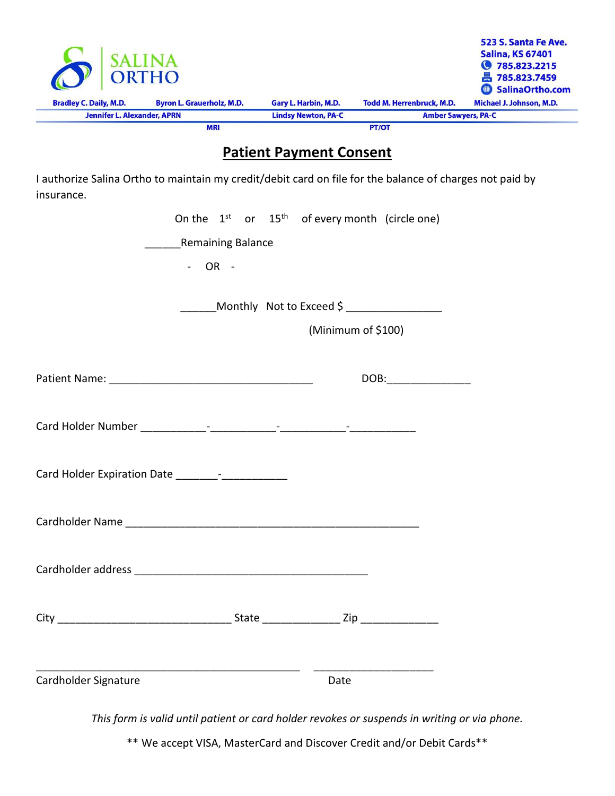|                                    | <b>AIINA</b><br>ORTHO            |                            |                                  | 523 S. Santa Fe Ave.<br><b>Salina, KS 67401</b><br>● 785.823.2215<br>昌 785.823.7459<br>SalinaOrtho.com |
|------------------------------------|----------------------------------|----------------------------|----------------------------------|--------------------------------------------------------------------------------------------------------|
| <b>Bradley C. Daily, M.D.</b>      | <b>Byron L. Grauerholz, M.D.</b> | Gary L. Harbin, M.D.       | <b>Todd M. Herrenbruck, M.D.</b> | Michael J. Johnson, M.D.                                                                               |
| <b>Jennifer L. Alexander, APRN</b> |                                  | <b>Lindsy Newton, PA-C</b> | <b>Amber Sawyers, PA-C</b>       |                                                                                                        |
|                                    | <b>MRI</b>                       |                            | <b>PT/OT</b>                     |                                                                                                        |

# **Patient Payment Consent**

I authorize Salina Ortho to maintain my credit/debit card on file for the balance of charges not paid by insurance.

|                      |                   |  | On the $1^{st}$ or $15^{th}$ of every month (circle one) |  |
|----------------------|-------------------|--|----------------------------------------------------------|--|
|                      | Remaining Balance |  |                                                          |  |
|                      | $-$ OR $-$        |  |                                                          |  |
|                      |                   |  | ________Monthly Not to Exceed \$ __________________      |  |
|                      |                   |  | (Minimum of \$100)                                       |  |
|                      |                   |  |                                                          |  |
|                      |                   |  |                                                          |  |
|                      |                   |  |                                                          |  |
|                      |                   |  |                                                          |  |
|                      |                   |  |                                                          |  |
|                      |                   |  |                                                          |  |
| Cardholder Signature |                   |  | Date                                                     |  |

*This form is valid until patient or card holder revokes or suspends in writing or via phone.*

\*\* We accept VISA, MasterCard and Discover Credit and/or Debit Cards\*\*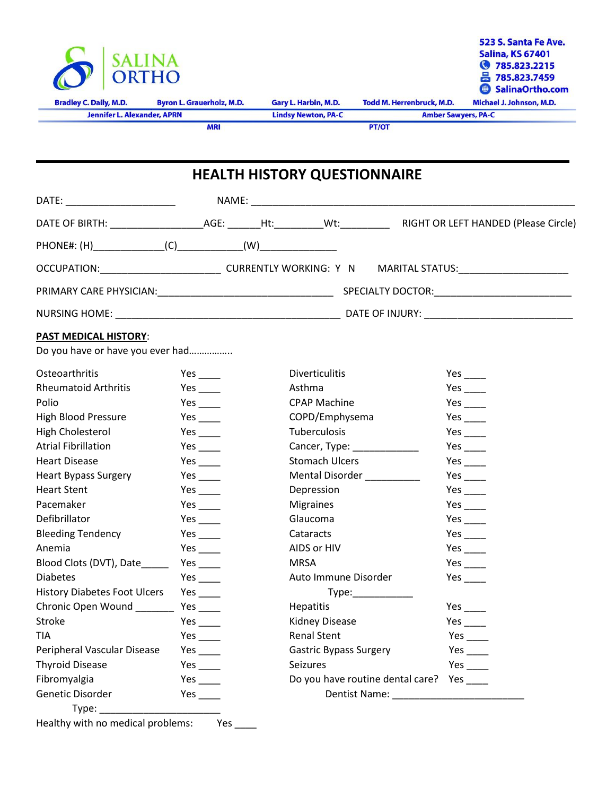

## **HEALTH HISTORY QUESTIONNAIRE**

|                                  |                     |                             | OCCUPATION:_____________________________CURRENTLY WORKING: Y N MARITAL STATUS:_____________________ |
|----------------------------------|---------------------|-----------------------------|-----------------------------------------------------------------------------------------------------|
|                                  |                     |                             |                                                                                                     |
|                                  |                     |                             |                                                                                                     |
| <b>PAST MEDICAL HISTORY:</b>     |                     |                             |                                                                                                     |
| Do you have or have you ever had |                     |                             |                                                                                                     |
| Osteoarthritis                   | Yes $\_\_$          | <b>Diverticulitis</b>       | Yes $\_\_$                                                                                          |
| <b>Rheumatoid Arthritis</b>      | Yes $\_\_\_\_\_\$   | Asthma                      | $Yes$ <sub>____</sub>                                                                               |
| Polio                            | Yes $\_\_\_\_\$     | <b>CPAP Machine</b>         |                                                                                                     |
| <b>High Blood Pressure</b>       | Yes $\_\_$          | COPD/Emphysema              | Yes $\_\_$                                                                                          |
| High Cholesterol                 | Yes $\_\_$          | Tuberculosis                | Yes $\_\_\_\_\_\$                                                                                   |
| Atrial Fibrillation              | Yes $\_\_$          | Cancer, Type: _____________ | Yes $\_\_\_\_\_\$                                                                                   |
| <b>Heart Disease</b>             | Yes $\_\_$          | <b>Stomach Ulcers</b>       | $Yes$ <sub>____</sub>                                                                               |
| <b>Heart Bypass Surgery</b>      | Yes $\_\_\_\_\_\_\$ | Mental Disorder ___________ | Yes $\_\_\_\_\_\_\$                                                                                 |
|                                  |                     |                             |                                                                                                     |

| $1 \text{C3}$        | JUUTTAUT UIUCTJ                  | 153                                                                                                                                                                                                                             |
|----------------------|----------------------------------|---------------------------------------------------------------------------------------------------------------------------------------------------------------------------------------------------------------------------------|
| Yes $\_\_$           | Mental Disorder                  |                                                                                                                                                                                                                                 |
| Yes $\_\_$           | Depression                       | Yes $\_\_$                                                                                                                                                                                                                      |
| Yes $\_\_$           | <b>Migraines</b>                 | $Yes$ <sub>____</sub>                                                                                                                                                                                                           |
| Yes $\_\_\_\_\_\$    | Glaucoma                         | Yes $\_\_\_\_\$                                                                                                                                                                                                                 |
| Yes $\_\_\_\_\_\$    | Cataracts                        | $Yes$ <sub>____</sub>                                                                                                                                                                                                           |
| Yes $\_\_\_\_\_\$    | AIDS or HIV                      | $Yes$ <sub>____</sub>                                                                                                                                                                                                           |
| Yes $\_\_$           | MRSA                             | $Yes$ <sub>____</sub>                                                                                                                                                                                                           |
| Yes $\_\_\_\_\_\$    | Auto Immune Disorder             |                                                                                                                                                                                                                                 |
| Yes $\_\_\_\_\_\_\$  | Type: Type:                      |                                                                                                                                                                                                                                 |
| Yes $\_\_$           | <b>Hepatitis</b>                 | $Yes$ <sub>___</sub>                                                                                                                                                                                                            |
|                      | Kidney Disease                   | Yes $\_\_$                                                                                                                                                                                                                      |
| Yes $\_\_\_\_\_\_\$  | <b>Renal Stent</b>               | Yes $\_\_\_\_\_\$                                                                                                                                                                                                               |
| Yes $\_\_\_\_\_\$    | <b>Gastric Bypass Surgery</b>    | Yes and the set of the set of the set of the set of the set of the set of the set of the set of the set of the set of the set of the set of the set of the set of the set of the set of the set of the set of the set of the se |
| $Yes$ <sub>___</sub> | Seizures                         | $Yes$ <sub>____</sub>                                                                                                                                                                                                           |
| Yes $\_\_\_\_\_\_\$  | Do you have routine dental care? | Yes $\_\_\_\_\_\_\_\$                                                                                                                                                                                                           |
| Yes                  |                                  |                                                                                                                                                                                                                                 |
|                      |                                  |                                                                                                                                                                                                                                 |
|                      |                                  | Dentist Name: Name and Security Assembly                                                                                                                                                                                        |

| <b>Rheumatoid Arthritis</b>         | Yes $\_\_$            | Asthma                                    | Yes $\_\_$            |
|-------------------------------------|-----------------------|-------------------------------------------|-----------------------|
| Polio                               | Yes $\_\_\_\_\_\$     | <b>CPAP Machine</b>                       | $Yes$ <sub>____</sub> |
| <b>High Blood Pressure</b>          | Yes $\_\_\_\_\$       | COPD/Emphysema                            | Yes $\_\_$            |
| High Cholesterol                    | Yes $\_\_$            | Tuberculosis                              | $Yes$ <sub>____</sub> |
| Atrial Fibrillation                 | Yes $\_\_\_\_\_\_\$   | Cancer, Type: ______________              | $Yes$ <sub>____</sub> |
| <b>Heart Disease</b>                | Yes $\_\_\_\_\_\$     | <b>Stomach Ulcers</b>                     | Yes $\_\_$            |
| <b>Heart Bypass Surgery</b>         | Yes $\_\_\_\_\_\$     | Mental Disorder<br><u>Mental Disorder</u> | Yes $\_\_$            |
| <b>Heart Stent</b>                  | Yes $\_\_$            | Depression                                | Yes $\_\_$            |
| Pacemaker                           | $Yes$ <sub>____</sub> | <b>Migraines</b>                          | Yes $\_\_$            |
| Defibrillator                       | $Yes$ <sub>____</sub> | Glaucoma                                  | Yes $\_\_$            |
| <b>Bleeding Tendency</b>            | Yes $\_\_\_\_\_\$     | Cataracts                                 | $Yes$ <sub>____</sub> |
| Anemia                              | Yes $\_\_\_\_\_\$     | AIDS or HIV                               | $Yes$ <sub>____</sub> |
| Blood Clots (DVT), Date_____        | Yes $\_\_$            | <b>MRSA</b>                               | Yes $\_\_$            |
| <b>Diabetes</b>                     | Yes $\_\_$            | Auto Immune Disorder                      | Yes $\_\_$            |
| <b>History Diabetes Foot Ulcers</b> | Yes $\_\_$            |                                           |                       |
| Chronic Open Wound                  | Yes $\_\_$            | <b>Hepatitis</b>                          | Yes $\_\_$            |
| Stroke                              | Yes $\_\_\_\_\_\$     | Kidney Disease                            | Yes $\_\_\_\_\_\$     |
| TIA                                 | Yes $\_\_\_\_\_\$     | <b>Renal Stent</b>                        | $Yes$ <sub>____</sub> |
| Peripheral Vascular Disease         | Yes $\_\_$            | <b>Gastric Bypass Surgery</b>             | Yes $\_\_$            |
| <b>Thyroid Disease</b>              | Yes $\_\_\_\_\$       | Seizures                                  | Yes $\_\_$            |
| Fibromyalgia                        | Yes $\_\_\_\_\_\$     | Do you have routine dental care?          | Yes $\_\_$            |
| Genetic Disorder                    | Yes $\_\_$            |                                           |                       |

Healthy with no medical problems: Yes \_\_\_\_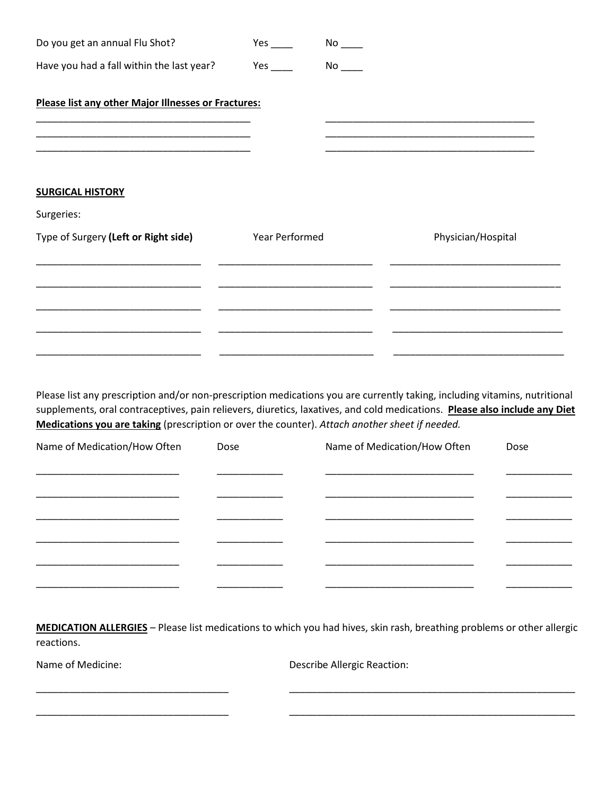| Yes $\_\_$                                          |                                                               |
|-----------------------------------------------------|---------------------------------------------------------------|
| Please list any other Major Illnesses or Fractures: |                                                               |
|                                                     | <u> 1989 - Johann Stein, mars and de Britannich (b. 1989)</u> |
|                                                     |                                                               |
|                                                     |                                                               |
|                                                     | Physician/Hospital                                            |
|                                                     |                                                               |
|                                                     |                                                               |
|                                                     |                                                               |
|                                                     | No<br><b>Year Performed</b>                                   |

Please list any prescription and/or non-prescription medications you are currently taking, including vitamins, nutritional supplements, oral contraceptives, pain relievers, diuretics, laxatives, and cold medications. **Please also include any Diet Medications you are taking** (prescription or over the counter). *Attach another sheet if needed.*

| Name of Medication/How Often | Dose | Name of Medication/How Often | Dose |
|------------------------------|------|------------------------------|------|
|                              |      |                              |      |
|                              |      |                              |      |
|                              |      |                              |      |
|                              |      |                              |      |
|                              |      |                              |      |
|                              |      |                              |      |

**MEDICATION ALLERGIES** – Please list medications to which you had hives, skin rash, breathing problems or other allergic reactions.

\_\_\_\_\_\_\_\_\_\_\_\_\_\_\_\_\_\_\_\_\_\_\_\_\_\_\_\_\_\_\_\_\_\_\_ \_\_\_\_\_\_\_\_\_\_\_\_\_\_\_\_\_\_\_\_\_\_\_\_\_\_\_\_\_\_\_\_\_\_\_\_\_\_\_\_\_\_\_\_\_\_\_\_\_\_\_\_

\_\_\_\_\_\_\_\_\_\_\_\_\_\_\_\_\_\_\_\_\_\_\_\_\_\_\_\_\_\_\_\_\_\_\_ \_\_\_\_\_\_\_\_\_\_\_\_\_\_\_\_\_\_\_\_\_\_\_\_\_\_\_\_\_\_\_\_\_\_\_\_\_\_\_\_\_\_\_\_\_\_\_\_\_\_\_\_

Name of Medicine: Describe Allergic Reaction: